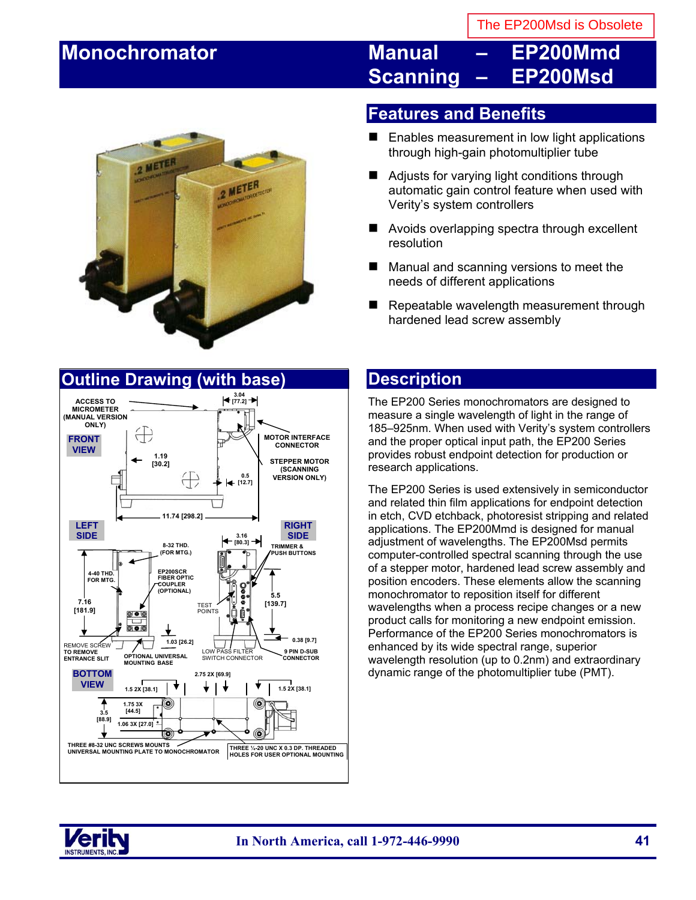# **Monochromator Manual – EP200Mmd Scanning – EP200Msd**



### **Outline Drawing (with base)**



### **Features and Benefits**

- Enables measurement in low light applications through high-gain photomultiplier tube
- Adiusts for varying light conditions through automatic gain control feature when used with Verity's system controllers
- Avoids overlapping spectra through excellent resolution
- Manual and scanning versions to meet the needs of different applications
- Repeatable wavelength measurement through hardened lead screw assembly

### **Description**

The EP200 Series monochromators are designed to measure a single wavelength of light in the range of 185–925nm. When used with Verity's system controllers and the proper optical input path, the EP200 Series provides robust endpoint detection for production or research applications.

The EP200 Series is used extensively in semiconductor and related thin film applications for endpoint detection in etch, CVD etchback, photoresist stripping and related applications. The EP200Mmd is designed for manual adjustment of wavelengths. The EP200Msd permits computer-controlled spectral scanning through the use of a stepper motor, hardened lead screw assembly and position encoders. These elements allow the scanning monochromator to reposition itself for different wavelengths when a process recipe changes or a new product calls for monitoring a new endpoint emission. Performance of the EP200 Series monochromators is enhanced by its wide spectral range, superior wavelength resolution (up to 0.2nm) and extraordinary dynamic range of the photomultiplier tube (PMT).

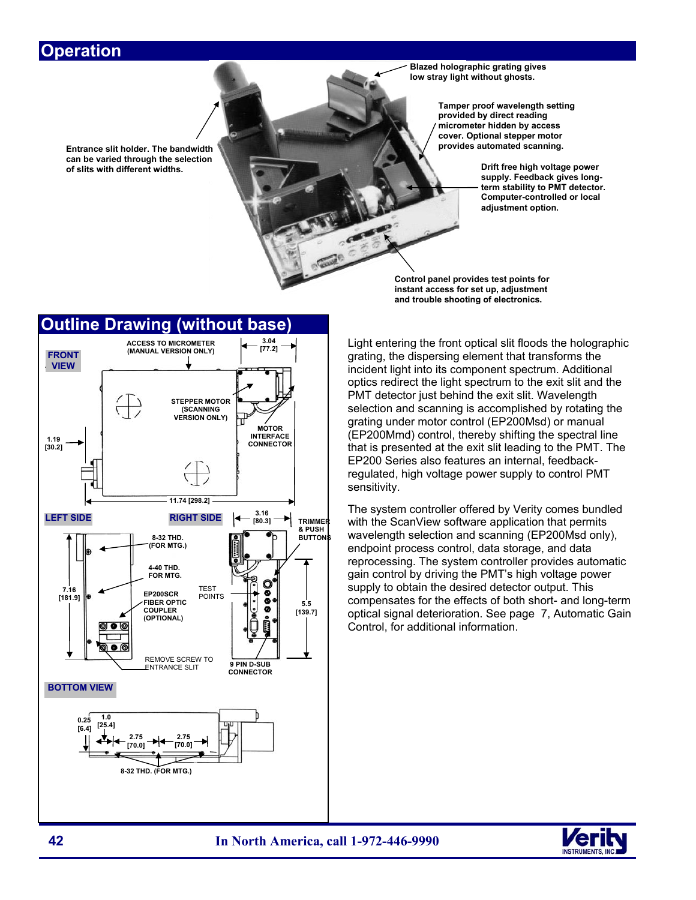### **Operation**

**Entrance slit holder. The bandwidth can be varied through the selection of slits with different widths. Drift free high voltage power** 

**Blazed holographic grating gives low stray light without ghosts.**

> **Tamper proof wavelength setting provided by direct reading micrometer hidden by access cover. Optional stepper motor provides automated scanning.**

> > **supply. Feedback gives longterm stability to PMT detector. Computer-controlled or local adjustment option.**

**Control panel provides test points for instant access for set up, adjustment and trouble shooting of electronics.**



Light entering the front optical slit floods the holographic grating, the dispersing element that transforms the incident light into its component spectrum. Additional optics redirect the light spectrum to the exit slit and the PMT detector just behind the exit slit. Wavelength selection and scanning is accomplished by rotating the grating under motor control (EP200Msd) or manual (EP200Mmd) control, thereby shifting the spectral line that is presented at the exit slit leading to the PMT. The EP200 Series also features an internal, feedbackregulated, high voltage power supply to control PMT sensitivity.

The system controller offered by Verity comes bundled with the ScanView software application that permits wavelength selection and scanning (EP200Msd only), endpoint process control, data storage, and data reprocessing. The system controller provides automatic gain control by driving the PMT's high voltage power supply to obtain the desired detector output. This compensates for the effects of both short- and long-term optical signal deterioration. See page 7, Automatic Gain Control, for additional information.

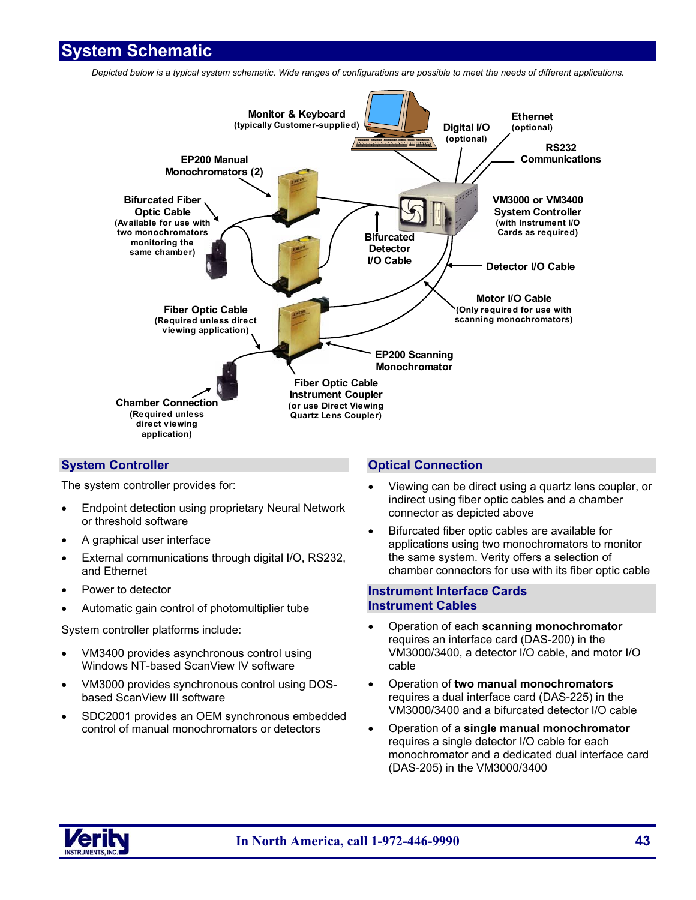### **System Schematic**

*Depicted below is a typical system schematic. Wide ranges of configurations are possible to meet the needs of different applications.* 



### **System Controller**

The system controller provides for:

- Endpoint detection using proprietary Neural Network or threshold software
- A graphical user interface
- External communications through digital I/O, RS232, and Ethernet
- Power to detector
- Automatic gain control of photomultiplier tube

System controller platforms include:

- VM3400 provides asynchronous control using Windows NT-based ScanView IV software
- VM3000 provides synchronous control using DOSbased ScanView III software
- SDC2001 provides an OEM synchronous embedded control of manual monochromators or detectors

### **Optical Connection**

- Viewing can be direct using a quartz lens coupler, or indirect using fiber optic cables and a chamber connector as depicted above
- Bifurcated fiber optic cables are available for applications using two monochromators to monitor the same system. Verity offers a selection of chamber connectors for use with its fiber optic cable

#### **Instrument Interface Cards Instrument Cables**

- Operation of each **scanning monochromator**  requires an interface card (DAS-200) in the VM3000/3400, a detector I/O cable, and motor I/O cable
- Operation of **two manual monochromators**  requires a dual interface card (DAS-225) in the VM3000/3400 and a bifurcated detector I/O cable
- Operation of a **single manual monochromator**  requires a single detector I/O cable for each monochromator and a dedicated dual interface card (DAS-205) in the VM3000/3400

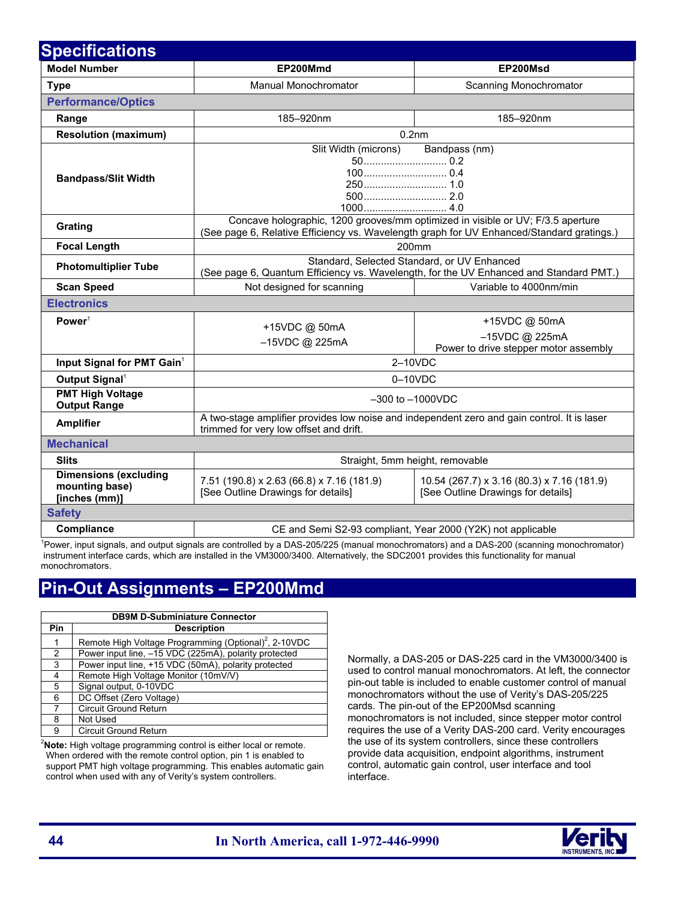| <b>Specifications</b>                                                |                                                                                                                                                                              |                                                                                  |
|----------------------------------------------------------------------|------------------------------------------------------------------------------------------------------------------------------------------------------------------------------|----------------------------------------------------------------------------------|
| <b>Model Number</b>                                                  | EP200Mmd                                                                                                                                                                     | EP200Msd                                                                         |
| <b>Type</b>                                                          | Manual Monochromator                                                                                                                                                         | Scanning Monochromator                                                           |
| <b>Performance/Optics</b>                                            |                                                                                                                                                                              |                                                                                  |
| Range                                                                | 185-920nm                                                                                                                                                                    | 185-920nm                                                                        |
| <b>Resolution (maximum)</b>                                          | 0.2 <sub>nm</sub>                                                                                                                                                            |                                                                                  |
| <b>Bandpass/Slit Width</b>                                           | Slit Width (microns)                                                                                                                                                         | Bandpass (nm)                                                                    |
| Grating                                                              | Concave holographic, 1200 grooves/mm optimized in visible or UV; F/3.5 aperture<br>(See page 6, Relative Efficiency vs. Wavelength graph for UV Enhanced/Standard gratings.) |                                                                                  |
| <b>Focal Length</b>                                                  | 200 <sub>mm</sub>                                                                                                                                                            |                                                                                  |
| <b>Photomultiplier Tube</b>                                          | Standard, Selected Standard, or UV Enhanced<br>(See page 6, Quantum Efficiency vs. Wavelength, for the UV Enhanced and Standard PMT.)                                        |                                                                                  |
| <b>Scan Speed</b>                                                    | Not designed for scanning                                                                                                                                                    | Variable to 4000nm/min                                                           |
| <b>Electronics</b>                                                   |                                                                                                                                                                              |                                                                                  |
| Power <sup>1</sup>                                                   | +15VDC @ 50mA<br>-15VDC @ 225mA                                                                                                                                              | +15VDC @ 50mA<br>$-15$ VDC @ 225mA                                               |
|                                                                      |                                                                                                                                                                              | Power to drive stepper motor assembly                                            |
| Input Signal for PMT Gain <sup>1</sup><br>Output Signal <sup>1</sup> | 2-10VDC<br>$0-10VDC$                                                                                                                                                         |                                                                                  |
| <b>PMT High Voltage</b><br><b>Output Range</b>                       | $-300$ to $-1000$ VDC                                                                                                                                                        |                                                                                  |
| <b>Amplifier</b>                                                     | A two-stage amplifier provides low noise and independent zero and gain control. It is laser<br>trimmed for very low offset and drift.                                        |                                                                                  |
| <b>Mechanical</b>                                                    |                                                                                                                                                                              |                                                                                  |
| <b>Slits</b>                                                         | Straight, 5mm height, removable                                                                                                                                              |                                                                                  |
| <b>Dimensions (excluding</b><br>mounting base)<br>[inches (mm)]      | 7.51 (190.8) x 2.63 (66.8) x 7.16 (181.9)<br>[See Outline Drawings for details]                                                                                              | 10.54 (267.7) x 3.16 (80.3) x 7.16 (181.9)<br>[See Outline Drawings for details] |
| <b>Safety</b>                                                        |                                                                                                                                                                              |                                                                                  |
| Compliance                                                           | CE and Semi S2-93 compliant, Year 2000 (Y2K) not applicable                                                                                                                  |                                                                                  |
|                                                                      | <sup>1</sup> Power, input signals, and output signals are controlled by a DAS-205/225 (manual monochromators) and a DAS-200 (scanning monochromator)                         |                                                                                  |

Power, input signals, and output signals are controlled by a DAS-205/225 (manual monochromators) and a DAS-200 (scanning monochromator) instrument interface cards, which are installed in the VM3000/3400. Alternatively, the SDC2001 provides this functionality for manual monochromators.

### **Pin-Out Assignments – EP200Mmd**

| <b>DB9M D-Subminiature Connector</b> |                                                                   |  |
|--------------------------------------|-------------------------------------------------------------------|--|
| Pin                                  | <b>Description</b>                                                |  |
| 1                                    | Remote High Voltage Programming (Optional) <sup>2</sup> , 2-10VDC |  |
| 2                                    | Power input line, -15 VDC (225mA), polarity protected             |  |
| 3                                    | Power input line, +15 VDC (50mA), polarity protected              |  |
| 4                                    | Remote High Voltage Monitor (10mV/V)                              |  |
| 5                                    | Signal output, 0-10VDC                                            |  |
| 6                                    | DC Offset (Zero Voltage)                                          |  |
| 7                                    | <b>Circuit Ground Return</b>                                      |  |
| 8                                    | Not Used                                                          |  |
| 9                                    | <b>Circuit Ground Return</b>                                      |  |

2 **Note:** High voltage programming control is either local or remote. When ordered with the remote control option, pin 1 is enabled to support PMT high voltage programming. This enables automatic gain control when used with any of Verity's system controllers.

Normally, a DAS-205 or DAS-225 card in the VM3000/3400 is used to control manual monochromators. At left, the connector pin-out table is included to enable customer control of manual monochromators without the use of Verity's DAS-205/225 cards. The pin-out of the EP200Msd scanning monochromators is not included, since stepper motor control requires the use of a Verity DAS-200 card. Verity encourages the use of its system controllers, since these controllers provide data acquisition, endpoint algorithms, instrument control, automatic gain control, user interface and tool interface.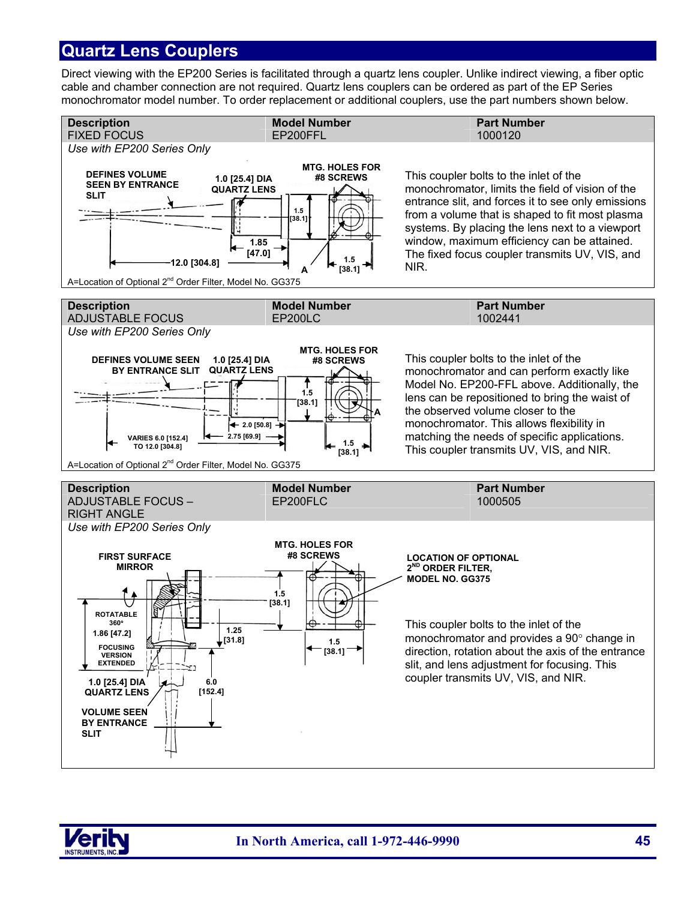### **Quartz Lens Couplers**

Direct viewing with the EP200 Series is facilitated through a quartz lens coupler. Unlike indirect viewing, a fiber optic cable and chamber connection are not required. Quartz lens couplers can be ordered as part of the EP Series monochromator model number. To order replacement or additional couplers, use the part numbers shown below.



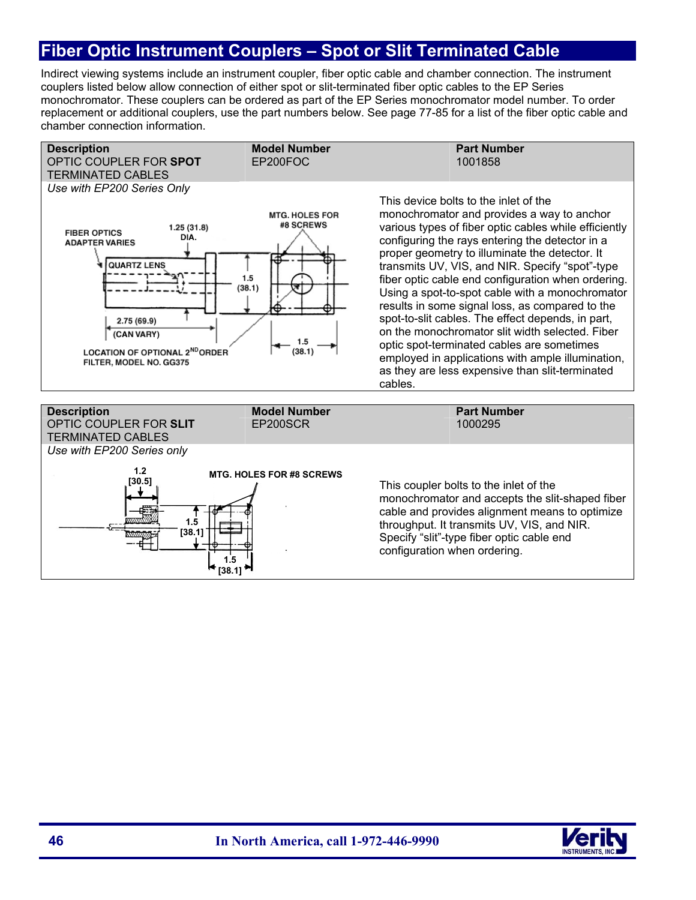## **Fiber Optic Instrument Couplers – Spot or Slit Terminated Cable**

Indirect viewing systems include an instrument coupler, fiber optic cable and chamber connection. The instrument couplers listed below allow connection of either spot or slit-terminated fiber optic cables to the EP Series monochromator. These couplers can be ordered as part of the EP Series monochromator model number. To order replacement or additional couplers, use the part numbers below. See page 77-85 for a list of the fiber optic cable and chamber connection information.